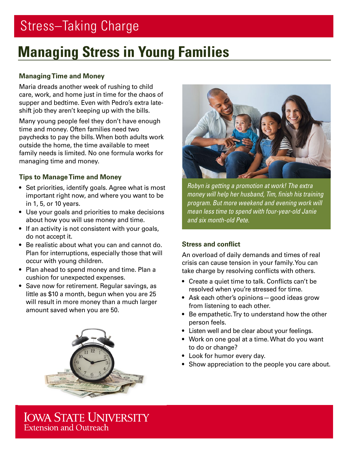# Stress–Taking Charge

# **Managing Stress in Young Families**

# **Managing Time and Money**

Maria dreads another week of rushing to child care, work, and home just in time for the chaos of supper and bedtime. Even with Pedro's extra lateshift job they aren't keeping up with the bills.

Many young people feel they don't have enough time and money. Often families need two paychecks to pay the bills. When both adults work outside the home, the time available to meet family needs is limited. No one formula works for managing time and money.

# **Tips to Manage Time and Money**

- Set priorities, identify goals. Agree what is most important right now, and where you want to be in 1, 5, or 10 years.
- Use your goals and priorities to make decisions about how you will use money and time.
- If an activity is not consistent with your goals, do not accept it.
- Be realistic about what you can and cannot do. Plan for interruptions, especially those that will occur with young children.
- Plan ahead to spend money and time. Plan a cushion for unexpected expenses.
- Save now for retirement. Regular savings, as little as \$10 a month, begun when you are 25 will result in more money than a much larger amount saved when you are 50.





*Robyn is getting a promotion at work! The extra money will help her husband, Tim, finish his training program. But more weekend and evening work will mean less time to spend with four-year-old Janie and six month-old Pete.*

## **Stress and conflict**

An overload of daily demands and times of real crisis can cause tension in your family. You can take charge by resolving conflicts with others.

- Create a quiet time to talk. Conflicts can't be resolved when you're stressed for time.
- Ask each other's opinions—good ideas grow from listening to each other.
- Be empathetic. Try to understand how the other person feels.
- Listen well and be clear about your feelings.
- Work on one goal at a time. What do you want to do or change?
- Look for humor every day.
- Show appreciation to the people you care about.

**IOWA STATE UNIVERSITY** Extension and Outreach